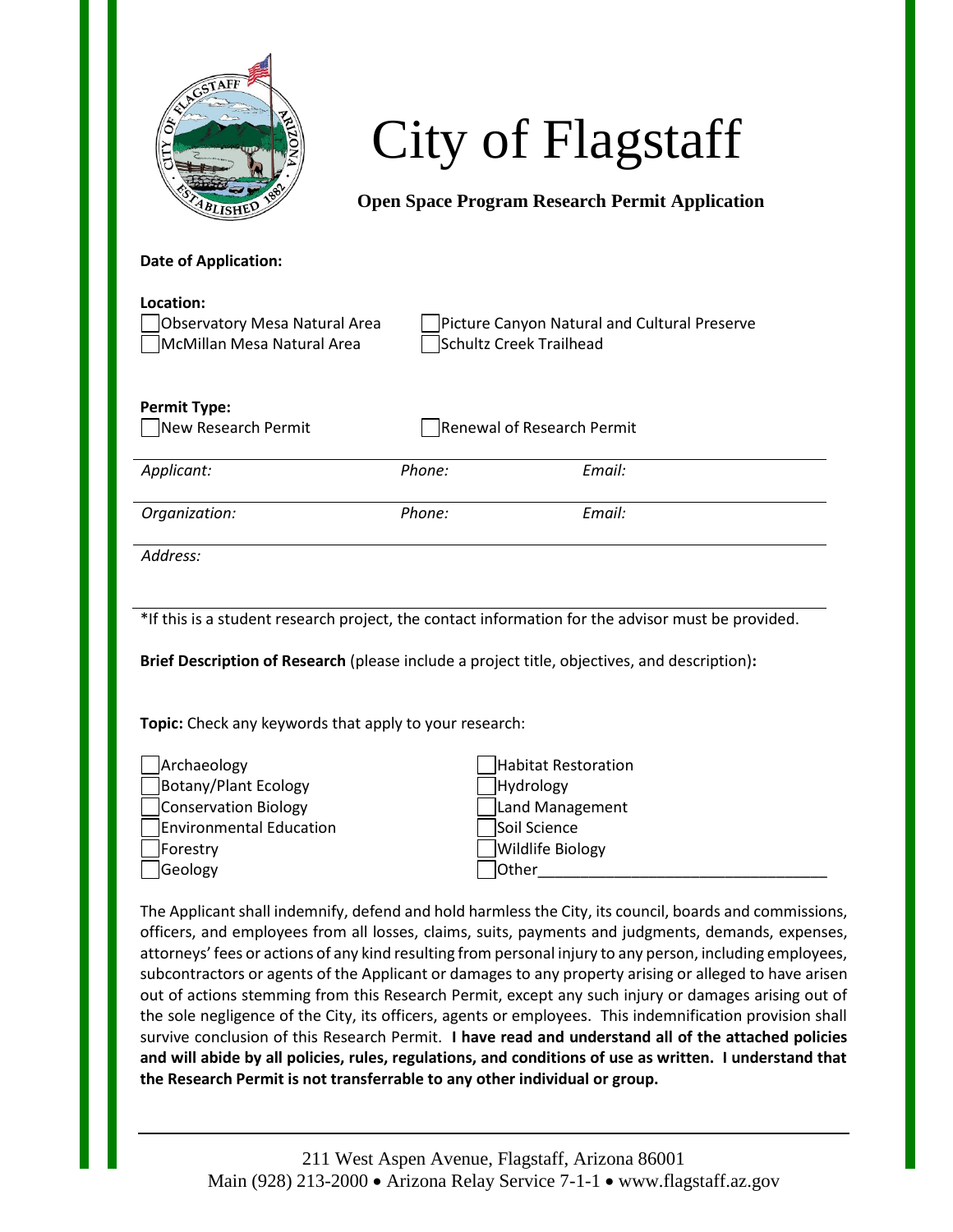

City of Flagstaff

**Open Space Program Research Permit Application**

## **Date of Application:**

| Location:<br>Observatory Mesa Natural Area<br>McMillan Mesa Natural Area | Schultz Creek Trailhead    | Picture Canyon Natural and Cultural Preserve |
|--------------------------------------------------------------------------|----------------------------|----------------------------------------------|
| <b>Permit Type:</b><br>New Research Permit                               | Renewal of Research Permit |                                              |
| Applicant:                                                               | Phone:                     | Email:                                       |
| Organization:                                                            | Phone:                     | Email:                                       |
| Address:                                                                 |                            |                                              |

\*If this is a student research project, the contact information for the advisor must be provided.

**Brief Description of Research** (please include a project title, objectives, and description)**:**

**Topic:** Check any keywords that apply to your research:

| Archaeology             |               | Habitat Restoration     |
|-------------------------|---------------|-------------------------|
| Botany/Plant Ecology    |               | Hydrology               |
| Conservation Biology    |               | Land Management         |
| Environmental Education |               | Soil Science            |
| Forestry                |               | <b>Wildlife Biology</b> |
| Geology                 | <b>lOther</b> |                         |

Habitat Restoration Hydrology Land Management Soil Science Wildlife Biology

The Applicant shall indemnify, defend and hold harmless the City, its council, boards and commissions, officers, and employees from all losses, claims, suits, payments and judgments, demands, expenses, attorneys' fees or actions of any kind resulting from personal injury to any person, including employees, subcontractors or agents of the Applicant or damages to any property arising or alleged to have arisen out of actions stemming from this Research Permit, except any such injury or damages arising out of the sole negligence of the City, its officers, agents or employees. This indemnification provision shall survive conclusion of this Research Permit. **I have read and understand all of the attached policies and will abide by all policies, rules, regulations, and conditions of use as written. I understand that the Research Permit is not transferrable to any other individual or group.**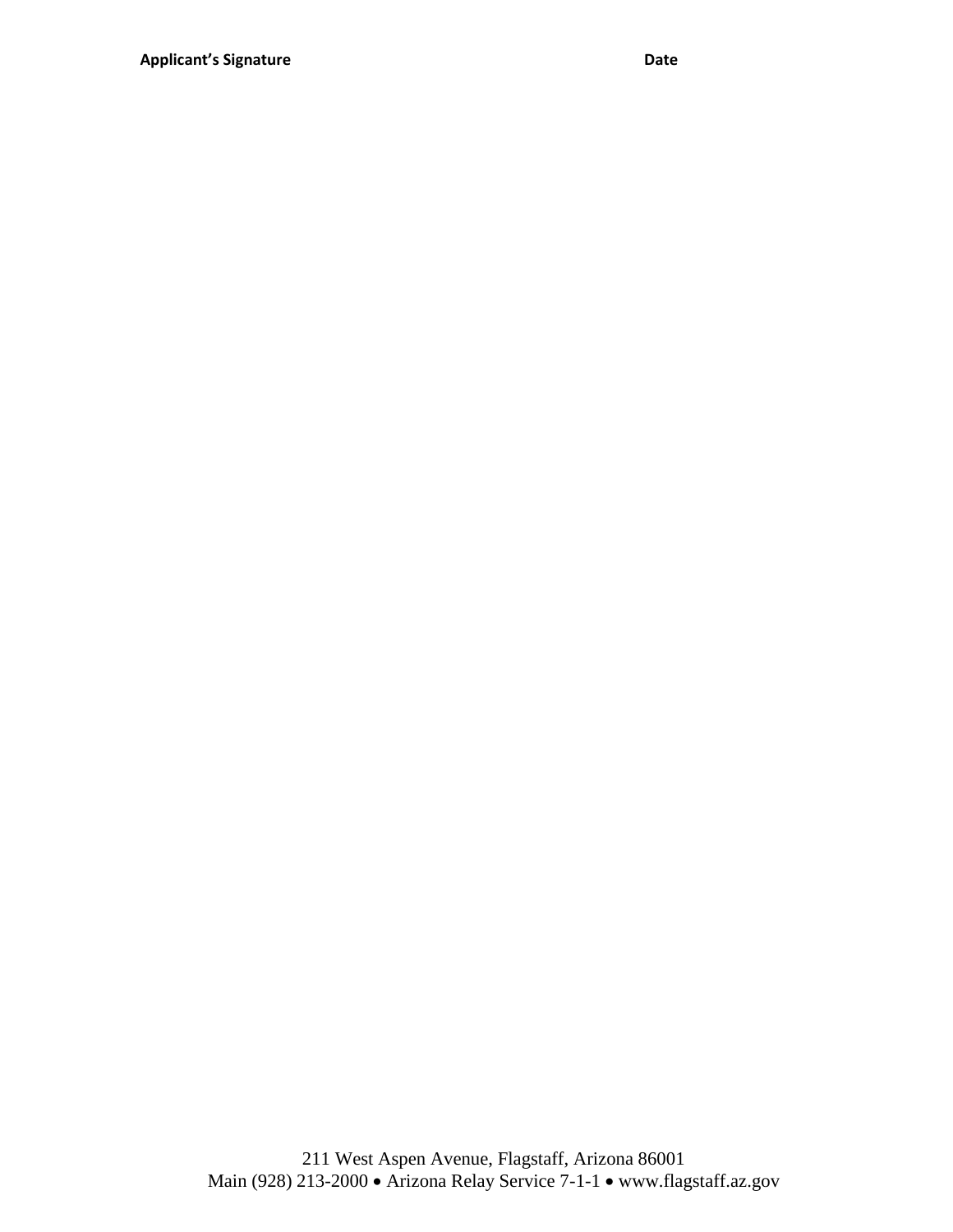211 West Aspen Avenue, Flagstaff, Arizona 86001 Main (928) 213-2000 • Arizona Relay Service 7-1-1 • www.flagstaff.az.gov